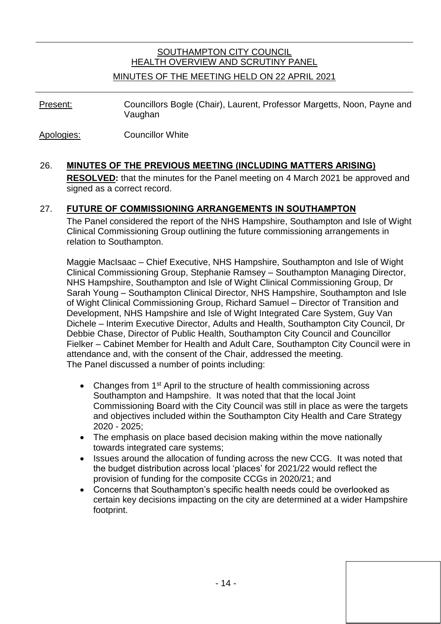# SOUTHAMPTON CITY COUNCIL HEALTH OVERVIEW AND SCRUTINY PANEL

### MINUTES OF THE MEETING HELD ON 22 APRIL 2021

Present: Councillors Bogle (Chair), Laurent, Professor Margetts, Noon, Payne and Vaughan

Apologies: Councillor White

## 26. **MINUTES OF THE PREVIOUS MEETING (INCLUDING MATTERS ARISING)**

**RESOLVED:** that the minutes for the Panel meeting on 4 March 2021 be approved and signed as a correct record.

### 27. **FUTURE OF COMMISSIONING ARRANGEMENTS IN SOUTHAMPTON**

The Panel considered the report of the NHS Hampshire, Southampton and Isle of Wight Clinical Commissioning Group outlining the future commissioning arrangements in relation to Southampton.

Maggie MacIsaac – Chief Executive, NHS Hampshire, Southampton and Isle of Wight Clinical Commissioning Group, Stephanie Ramsey – Southampton Managing Director, NHS Hampshire, Southampton and Isle of Wight Clinical Commissioning Group, Dr Sarah Young – Southampton Clinical Director, NHS Hampshire, Southampton and Isle of Wight Clinical Commissioning Group, Richard Samuel – Director of Transition and Development, NHS Hampshire and Isle of Wight Integrated Care System, Guy Van Dichele – Interim Executive Director, Adults and Health, Southampton City Council, Dr Debbie Chase, Director of Public Health, Southampton City Council and Councillor Fielker – Cabinet Member for Health and Adult Care, Southampton City Council were in attendance and, with the consent of the Chair, addressed the meeting. The Panel discussed a number of points including:

- Changes from 1<sup>st</sup> April to the structure of health commissioning across Southampton and Hampshire. It was noted that that the local Joint Commissioning Board with the City Council was still in place as were the targets and objectives included within the Southampton City Health and Care Strategy 2020 - 2025;
- The emphasis on place based decision making within the move nationally towards integrated care systems;
- Issues around the allocation of funding across the new CCG. It was noted that the budget distribution across local 'places' for 2021/22 would reflect the provision of funding for the composite CCGs in 2020/21; and
- Concerns that Southampton's specific health needs could be overlooked as certain key decisions impacting on the city are determined at a wider Hampshire footprint.